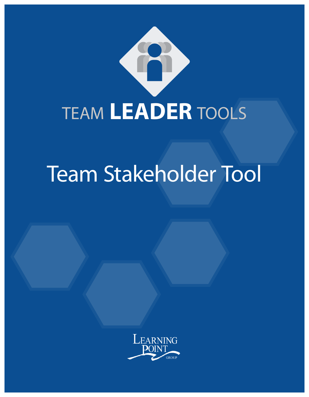

# Team Stakeholder Tool

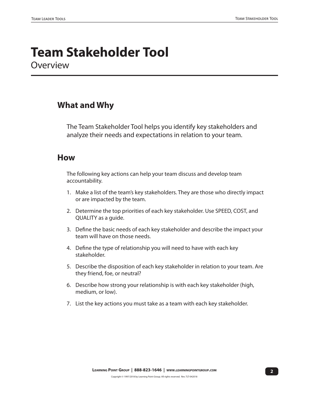### **Team Stakeholder Tool Overview**

#### **What and Why**

The Team Stakeholder Tool helps you identify key stakeholders and analyze their needs and expectations in relation to your team.

#### **How**

The following key actions can help your team discuss and develop team accountability.

- 1. Make a list of the team's key stakeholders. They are those who directly impact or are impacted by the team.
- 2. Determine the top priorities of each key stakeholder. Use SPEED, COST, and QUALITY as a guide.
- 3. Define the basic needs of each key stakeholder and describe the impact your team will have on those needs.
- 4. Define the type of relationship you will need to have with each key stakeholder.
- 5. Describe the disposition of each key stakeholder in relation to your team. Are they friend, foe, or neutral?
- 6. Describe how strong your relationship is with each key stakeholder (high, medium, or low).
- 7. List the key actions you must take as a team with each key stakeholder.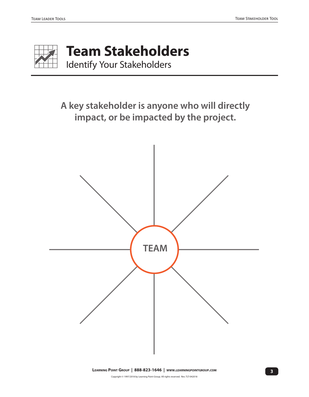

# **Team Stakeholders**

Identify Your Stakeholders

**A key stakeholder is anyone who will directly impact, or be impacted by the project.**

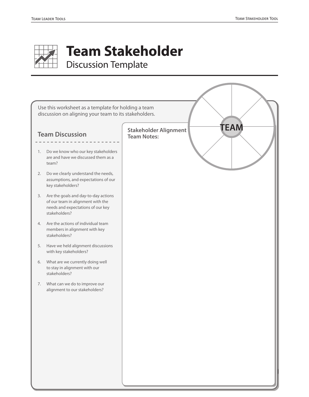

# **Team Stakeholder**

Discussion Template

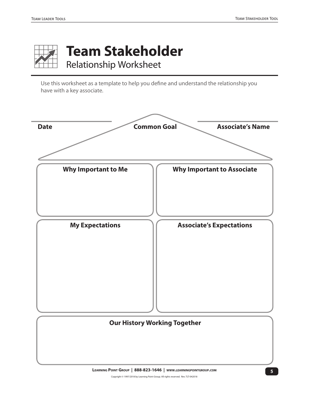

## **Team Stakeholder** Relationship Worksheet

Use this worksheet as a template to help you define and understand the relationship you have with a key associate.